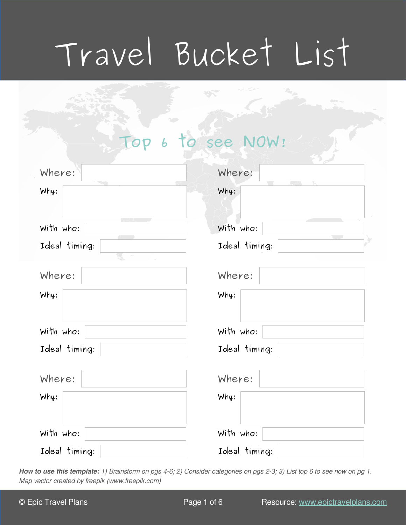# Travel Bucket List

|  | Top 6 to see NOW! |  |
|--|-------------------|--|
|  |                   |  |
|  |                   |  |
|  |                   |  |

| Where:                          | Where:        |  |
|---------------------------------|---------------|--|
| Why:                            | Why:          |  |
| With who:                       | With who:     |  |
| Ideal timing:<br>Ł.<br>$\sigma$ | Ideal timing: |  |
| Where:                          | Where:        |  |
| Why:                            | Why:          |  |
| With who:                       | With who:     |  |
| Ideal timing:                   | Ideal timing: |  |
| Where:                          | Where:        |  |
| Why:                            | Why:          |  |
| With who:                       | With who:     |  |
| Ideal timing:                   | Ideal timing: |  |

**How to use this template:** 1) Brainstorm on pgs 4-6; 2) Consider categories on pgs 2-3; 3) List top 6 to see now on pg 1. Map vector created by freepik (www.freepik.com)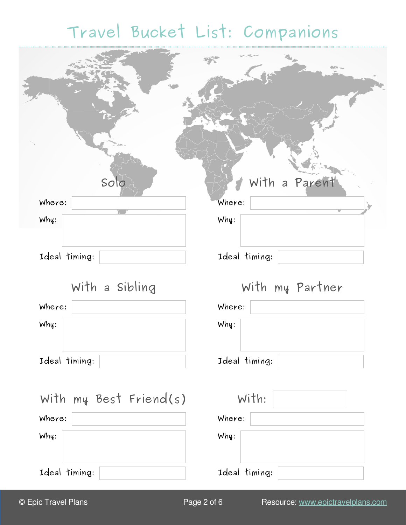## **Travel Bucket List: Companions**

| Solo                   | With a Parent   |
|------------------------|-----------------|
| Where:                 | Where:          |
| Why:                   | Why:            |
| Ideal timing:          | Ideal timing:   |
| With a Sibling         | With my Partner |
| Where:                 | Where:          |
| Why:                   | Why:            |
| Ideal timing:          | Ideal timing:   |
| With my Best Friend(s) | With:           |
| Where:                 | Where:          |
| Why:                   | Why:            |
| Ideal timing:          | Ideal timing:   |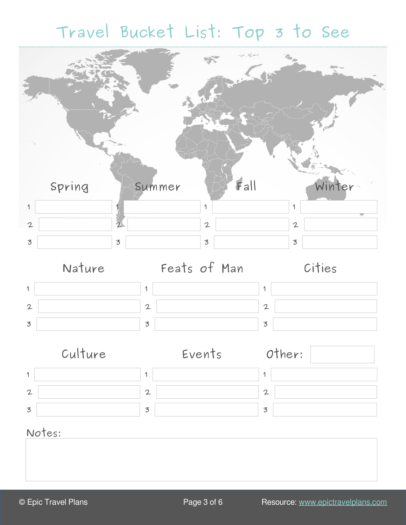## **Travel Bucket List: Top 3 to See**

|                | Spring | Summer         | Fall           | Winter         |
|----------------|--------|----------------|----------------|----------------|
| $\mathbf 1$    |        |                | 1              | $\mathbf 1$    |
| $\mathbf{2}$   |        | $\overline{2}$ | $\mathbf{2}$   | $\mathbf{2}$   |
| $\overline{3}$ |        | $\overline{3}$ | $\overline{3}$ | $\overline{3}$ |
|                | Nature |                | Feats of Man   | Cities         |









### **Notes:**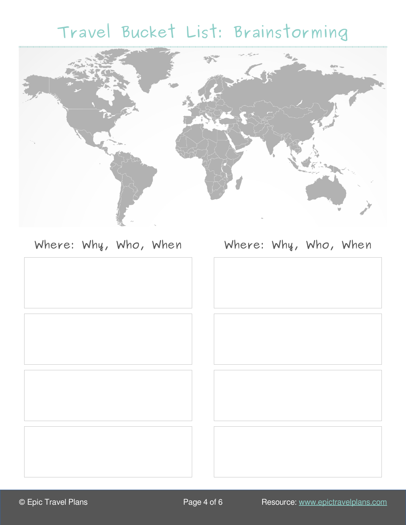# **Travel Bucket List: Brainstorming**



### **Where: Why, Who, When Where: Why, Who, When**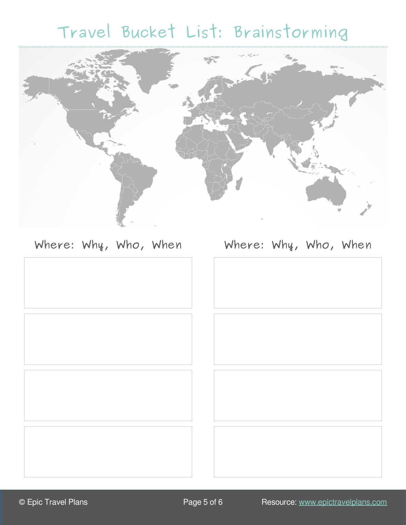# **Travel Bucket List: Brainstorming**



### **Where: Why, Who, When Where: Why, Who, When**